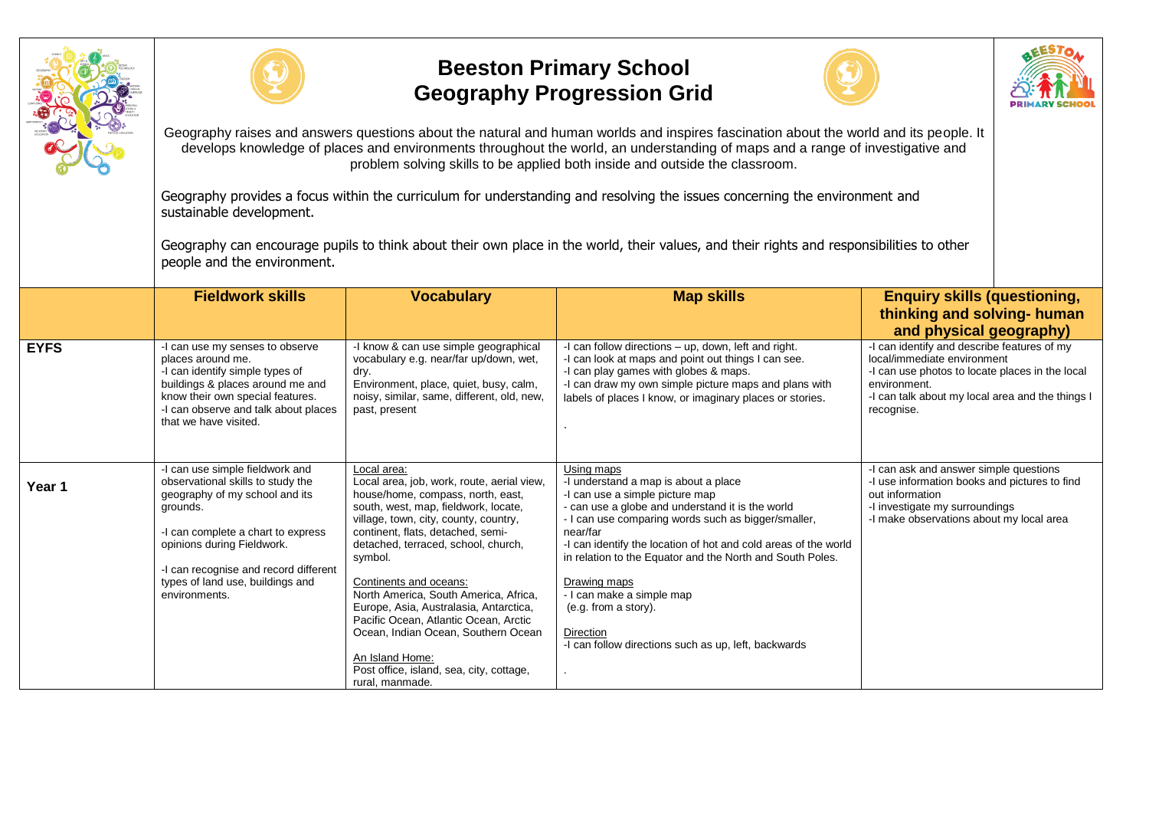



## **Beeston Primary School Geography Progression Grid**





Geography raises and answers questions about the natural and human worlds and inspires fascination about the world and its people. It develops knowledge of places and environments throughout the world, an understanding of maps and a range of investigative and problem solving skills to be applied both inside and outside the classroom.

Geography provides a focus within the curriculum for understanding and resolving the issues concerning the environment and sustainable development.

Geography can encourage pupils to think about their own place in the world, their values, and their rights and responsibilities to other people and the environment.

|             | <b>Fieldwork skills</b>                                                                                                                                                                                                                                                              | <b>Vocabulary</b>                                                                                                                                                                                                                                                                                                                                                                                                                                                                                                                                     | <b>Map skills</b>                                                                                                                                                                                                                                                                                                                                                                                                                                                                      | <b>Enquiry skills (questioning,</b>                                                                                                                                                                             |
|-------------|--------------------------------------------------------------------------------------------------------------------------------------------------------------------------------------------------------------------------------------------------------------------------------------|-------------------------------------------------------------------------------------------------------------------------------------------------------------------------------------------------------------------------------------------------------------------------------------------------------------------------------------------------------------------------------------------------------------------------------------------------------------------------------------------------------------------------------------------------------|----------------------------------------------------------------------------------------------------------------------------------------------------------------------------------------------------------------------------------------------------------------------------------------------------------------------------------------------------------------------------------------------------------------------------------------------------------------------------------------|-----------------------------------------------------------------------------------------------------------------------------------------------------------------------------------------------------------------|
|             |                                                                                                                                                                                                                                                                                      |                                                                                                                                                                                                                                                                                                                                                                                                                                                                                                                                                       |                                                                                                                                                                                                                                                                                                                                                                                                                                                                                        | thinking and solving- human                                                                                                                                                                                     |
|             |                                                                                                                                                                                                                                                                                      |                                                                                                                                                                                                                                                                                                                                                                                                                                                                                                                                                       |                                                                                                                                                                                                                                                                                                                                                                                                                                                                                        | and physical geography)                                                                                                                                                                                         |
| <b>EYFS</b> | -I can use my senses to observe<br>places around me.<br>-I can identify simple types of<br>buildings & places around me and<br>know their own special features.<br>-I can observe and talk about places<br>that we have visited.                                                     | -I know & can use simple geographical<br>vocabulary e.g. near/far up/down, wet.<br>dry.<br>Environment, place, quiet, busy, calm,<br>noisy, similar, same, different, old, new,<br>past, present                                                                                                                                                                                                                                                                                                                                                      | -I can follow directions – up, down, left and right.<br>-I can look at maps and point out things I can see.<br>-I can play games with globes & maps.<br>-I can draw my own simple picture maps and plans with<br>labels of places I know, or imaginary places or stories.                                                                                                                                                                                                              | -I can identify and describe features of my<br>local/immediate environment<br>-I can use photos to locate places in the local<br>environment.<br>-I can talk about my local area and the things I<br>recognise. |
| Year 1      | -I can use simple fieldwork and<br>observational skills to study the<br>geography of my school and its<br>grounds.<br>-I can complete a chart to express<br>opinions during Fieldwork.<br>-I can recognise and record different<br>types of land use, buildings and<br>environments. | Local area:<br>Local area, job, work, route, aerial view,<br>house/home, compass, north, east,<br>south, west, map, fieldwork, locate,<br>village, town, city, county, country,<br>continent, flats, detached, semi-<br>detached, terraced, school, church,<br>symbol.<br>Continents and oceans:<br>North America, South America, Africa,<br>Europe, Asia, Australasia, Antarctica,<br>Pacific Ocean, Atlantic Ocean, Arctic<br>Ocean, Indian Ocean, Southern Ocean<br>An Island Home:<br>Post office, island, sea, city, cottage,<br>rural, manmade. | Using maps<br>-I understand a map is about a place<br>-I can use a simple picture map<br>- can use a globe and understand it is the world<br>- I can use comparing words such as bigger/smaller,<br>near/far<br>-I can identify the location of hot and cold areas of the world<br>in relation to the Equator and the North and South Poles.<br>Drawing maps<br>- I can make a simple map<br>(e.g. from a story).<br>Direction<br>-I can follow directions such as up, left, backwards | -I can ask and answer simple questions<br>-I use information books and pictures to find<br>out information<br>-I investigate my surroundings<br>-I make observations about my local area                        |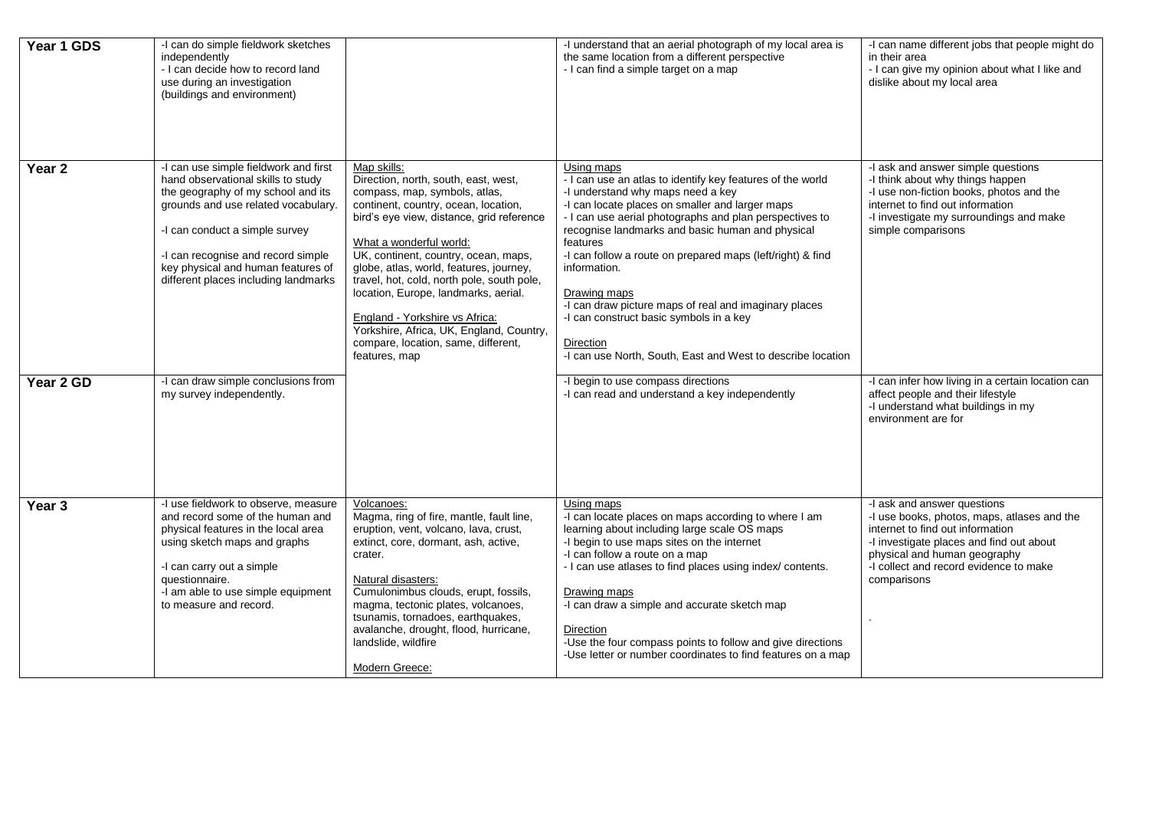| Year 1 GDS        | -I can do simple fieldwork sketches<br>independently<br>- I can decide how to record land<br>use during an investigation<br>(buildings and environment)                                                                                                                                                        |                                                                                                                                                                                                                                                                                                                                                                                                                                                                                                                     | -I understand that an aerial photograph of my local area is<br>the same location from a different perspective<br>- I can find a simple target on a map                                                                                                                                                                                                                                                                                                                                                                                                                    | -I can name different jobs that people might do<br>in their area<br>- I can give my opinion about what I like and<br>dislike about my local area                                                                                                    |
|-------------------|----------------------------------------------------------------------------------------------------------------------------------------------------------------------------------------------------------------------------------------------------------------------------------------------------------------|---------------------------------------------------------------------------------------------------------------------------------------------------------------------------------------------------------------------------------------------------------------------------------------------------------------------------------------------------------------------------------------------------------------------------------------------------------------------------------------------------------------------|---------------------------------------------------------------------------------------------------------------------------------------------------------------------------------------------------------------------------------------------------------------------------------------------------------------------------------------------------------------------------------------------------------------------------------------------------------------------------------------------------------------------------------------------------------------------------|-----------------------------------------------------------------------------------------------------------------------------------------------------------------------------------------------------------------------------------------------------|
| Year 2            | -I can use simple fieldwork and first<br>hand observational skills to study<br>the geography of my school and its<br>grounds and use related vocabulary.<br>-I can conduct a simple survey<br>-I can recognise and record simple<br>key physical and human features of<br>different places including landmarks | Map skills:<br>Direction, north, south, east, west,<br>compass, map, symbols, atlas,<br>continent, country, ocean, location,<br>bird's eye view, distance, grid reference<br>What a wonderful world:<br>UK, continent, country, ocean, maps,<br>globe, atlas, world, features, journey,<br>travel, hot, cold, north pole, south pole,<br>location, Europe, landmarks, aerial.<br>England - Yorkshire vs Africa:<br>Yorkshire, Africa, UK, England, Country,<br>compare, location, same, different,<br>features, map | Using maps<br>- I can use an atlas to identify key features of the world<br>-I understand why maps need a key<br>-I can locate places on smaller and larger maps<br>- I can use aerial photographs and plan perspectives to<br>recognise landmarks and basic human and physical<br>features<br>-I can follow a route on prepared maps (left/right) & find<br>information.<br>Drawing maps<br>-I can draw picture maps of real and imaginary places<br>-I can construct basic symbols in a key<br>Direction<br>-I can use North, South, East and West to describe location | -I ask and answer simple questions<br>-I think about why things happen<br>-I use non-fiction books, photos and the<br>internet to find out information<br>-I investigate my surroundings and make<br>simple comparisons                             |
| Year 2 GD         | -I can draw simple conclusions from<br>my survey independently.                                                                                                                                                                                                                                                |                                                                                                                                                                                                                                                                                                                                                                                                                                                                                                                     | -I begin to use compass directions<br>-I can read and understand a key independently                                                                                                                                                                                                                                                                                                                                                                                                                                                                                      | -I can infer how living in a certain location can<br>affect people and their lifestyle<br>-I understand what buildings in my<br>environment are for                                                                                                 |
| Year <sub>3</sub> | -I use fieldwork to observe, measure<br>and record some of the human and<br>physical features in the local area<br>using sketch maps and graphs<br>-I can carry out a simple<br>questionnaire.<br>-I am able to use simple equipment<br>to measure and record.                                                 | Volcanoes:<br>Magma, ring of fire, mantle, fault line,<br>eruption, vent, volcano, lava, crust,<br>extinct, core, dormant, ash, active,<br>crater.<br>Natural disasters:<br>Cumulonimbus clouds, erupt, fossils,<br>magma, tectonic plates, volcanoes,<br>tsunamis, tornadoes, earthquakes,<br>avalanche, drought, flood, hurricane,<br>landslide, wildfire<br>Modern Greece:                                                                                                                                       | Using maps<br>-I can locate places on maps according to where I am<br>learning about including large scale OS maps<br>-I begin to use maps sites on the internet<br>-I can follow a route on a map<br>- I can use atlases to find places using index/ contents.<br>Drawing maps<br>-I can draw a simple and accurate sketch map<br>Direction<br>-Use the four compass points to follow and give directions<br>-Use letter or number coordinates to find features on a map                                                                                                 | -I ask and answer questions<br>-I use books, photos, maps, atlases and the<br>internet to find out information<br>-I investigate places and find out about<br>physical and human geography<br>-I collect and record evidence to make<br>comparisons |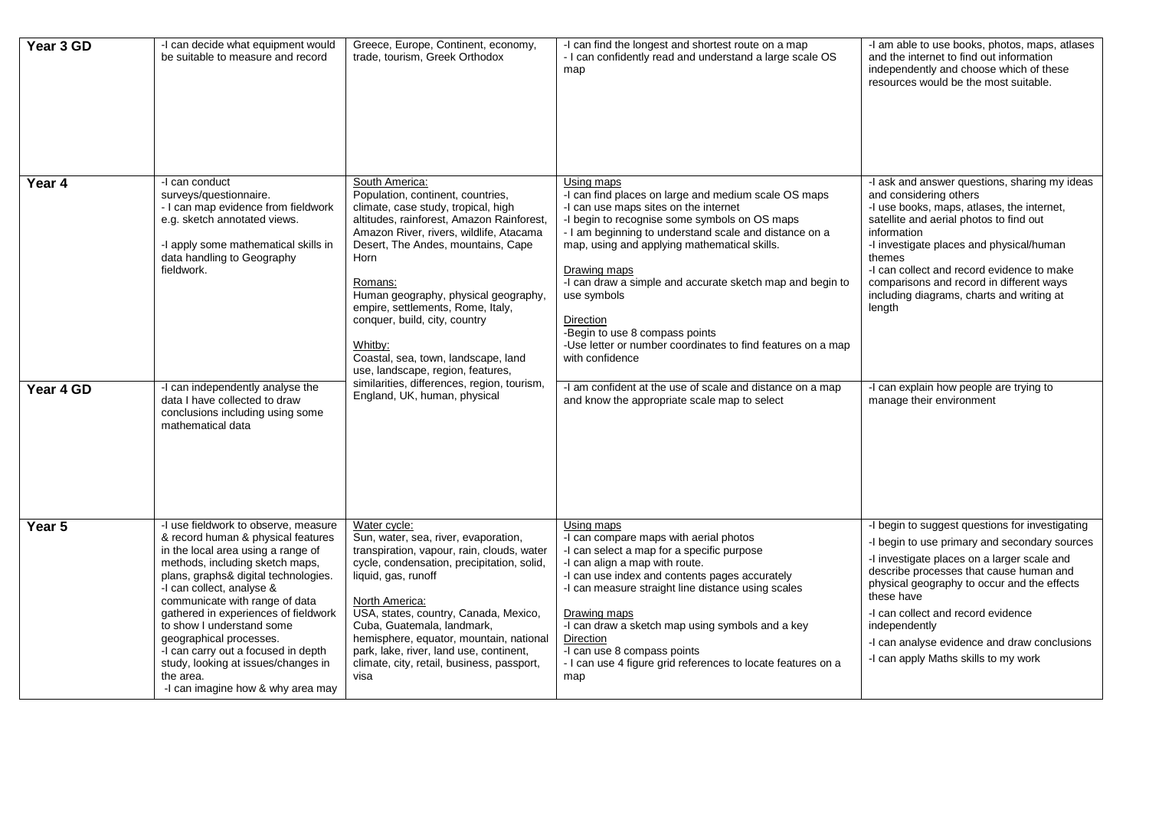| Year 3 GD | -I can decide what equipment would<br>be suitable to measure and record                                                                                                                                                                                                                                                                                                                                                                                                                    | Greece, Europe, Continent, economy,<br>trade, tourism, Greek Orthodox                                                                                                                                                                                                                                                                                                                                                                                                                           | -I can find the longest and shortest route on a map<br>- I can confidently read and understand a large scale OS<br>map                                                                                                                                                                                                                                                                                                                                                                                     | -I am able to use books, photos, maps, atlases<br>and the internet to find out information<br>independently and choose which of these<br>resources would be the most suitable.                                                                                                                                                                                                                         |
|-----------|--------------------------------------------------------------------------------------------------------------------------------------------------------------------------------------------------------------------------------------------------------------------------------------------------------------------------------------------------------------------------------------------------------------------------------------------------------------------------------------------|-------------------------------------------------------------------------------------------------------------------------------------------------------------------------------------------------------------------------------------------------------------------------------------------------------------------------------------------------------------------------------------------------------------------------------------------------------------------------------------------------|------------------------------------------------------------------------------------------------------------------------------------------------------------------------------------------------------------------------------------------------------------------------------------------------------------------------------------------------------------------------------------------------------------------------------------------------------------------------------------------------------------|--------------------------------------------------------------------------------------------------------------------------------------------------------------------------------------------------------------------------------------------------------------------------------------------------------------------------------------------------------------------------------------------------------|
| Year 4    | -I can conduct<br>surveys/questionnaire.<br>- I can map evidence from fieldwork<br>e.g. sketch annotated views.<br>-I apply some mathematical skills in<br>data handling to Geography<br>fieldwork.                                                                                                                                                                                                                                                                                        | South America:<br>Population, continent, countries,<br>climate, case study, tropical, high<br>altitudes, rainforest, Amazon Rainforest,<br>Amazon River, rivers, wildlife, Atacama<br>Desert, The Andes, mountains, Cape<br>Horn<br>Romans:<br>Human geography, physical geography,<br>empire, settlements, Rome, Italy,<br>conquer, build, city, country<br>Whitby:<br>Coastal, sea, town, landscape, land<br>use, landscape, region, features,<br>similarities, differences, region, tourism, | Using maps<br>-I can find places on large and medium scale OS maps<br>-I can use maps sites on the internet<br>-I begin to recognise some symbols on OS maps<br>- I am beginning to understand scale and distance on a<br>map, using and applying mathematical skills.<br>Drawing maps<br>-I can draw a simple and accurate sketch map and begin to<br>use symbols<br><b>Direction</b><br>-Begin to use 8 compass points<br>-Use letter or number coordinates to find features on a map<br>with confidence | -I ask and answer questions, sharing my ideas<br>and considering others<br>-I use books, maps, atlases, the internet,<br>satellite and aerial photos to find out<br>information<br>-I investigate places and physical/human<br>themes<br>-I can collect and record evidence to make<br>comparisons and record in different ways<br>including diagrams, charts and writing at<br>length                 |
| Year 4 GD | -I can independently analyse the<br>data I have collected to draw<br>conclusions including using some<br>mathematical data                                                                                                                                                                                                                                                                                                                                                                 | England, UK, human, physical                                                                                                                                                                                                                                                                                                                                                                                                                                                                    | -I am confident at the use of scale and distance on a map<br>and know the appropriate scale map to select                                                                                                                                                                                                                                                                                                                                                                                                  | -I can explain how people are trying to<br>manage their environment                                                                                                                                                                                                                                                                                                                                    |
| Year 5    | -I use fieldwork to observe, measure<br>& record human & physical features<br>in the local area using a range of<br>methods, including sketch maps,<br>plans, graphs& digital technologies.<br>-I can collect, analyse &<br>communicate with range of data<br>gathered in experiences of fieldwork<br>to show I understand some<br>geographical processes.<br>-I can carry out a focused in depth<br>study, looking at issues/changes in<br>the area.<br>-I can imagine how & why area may | Water cycle:<br>Sun, water, sea, river, evaporation,<br>transpiration, vapour, rain, clouds, water<br>cycle, condensation, precipitation, solid,<br>liquid, gas, runoff<br>North America:<br>USA, states, country, Canada, Mexico,<br>Cuba, Guatemala, landmark,<br>hemisphere, equator, mountain, national<br>park, lake, river, land use, continent,<br>climate, city, retail, business, passport,<br>visa                                                                                    | Using maps<br>-I can compare maps with aerial photos<br>-I can select a map for a specific purpose<br>-I can align a map with route.<br>-I can use index and contents pages accurately<br>-I can measure straight line distance using scales<br>Drawing maps<br>-I can draw a sketch map using symbols and a key<br><b>Direction</b><br>-I can use 8 compass points<br>- I can use 4 figure grid references to locate features on a<br>map                                                                 | -I begin to suggest questions for investigating<br>-I begin to use primary and secondary sources<br>-I investigate places on a larger scale and<br>describe processes that cause human and<br>physical geography to occur and the effects<br>these have<br>-I can collect and record evidence<br>independently<br>-I can analyse evidence and draw conclusions<br>-I can apply Maths skills to my work |